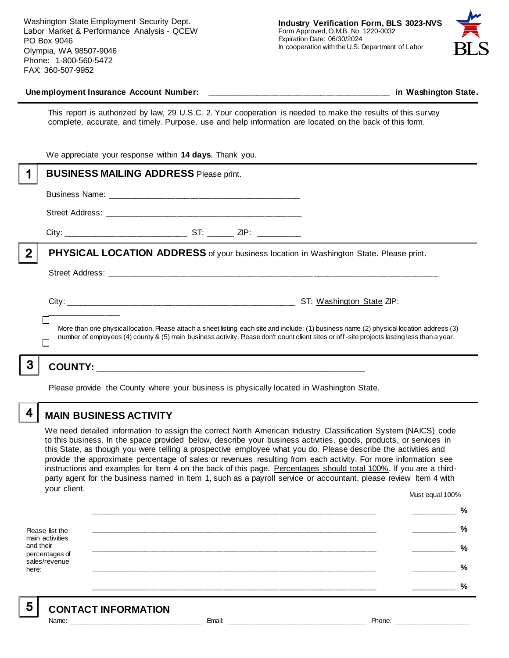Washington State Employment Security Dept. Labor Market & Performance Analysis - QCEW PO Box 9046 Olympia, WA 98507-9046 Phone: 1-800-560-5472 FAX: 360-507-9952



#### **Unemployment Insurance Account Number: \_\_\_\_\_\_\_\_\_\_\_\_\_\_\_\_\_\_\_\_\_\_\_\_\_\_\_\_\_\_\_\_\_\_\_\_\_\_\_\_ in Washington State.**

This report is authorized by law, 29 U.S.C. 2. Your cooperation is needed to make the results of this survey complete, accurate, and timely. Purpose, use and help information are located on the back of this form.

|                | We appreciate your response within 14 days. Thank you.                                                                                                                                                                                                                                   |
|----------------|------------------------------------------------------------------------------------------------------------------------------------------------------------------------------------------------------------------------------------------------------------------------------------------|
|                | <b>BUSINESS MAILING ADDRESS Please print.</b>                                                                                                                                                                                                                                            |
|                |                                                                                                                                                                                                                                                                                          |
|                |                                                                                                                                                                                                                                                                                          |
|                |                                                                                                                                                                                                                                                                                          |
| $\overline{2}$ | <b>PHYSICAL LOCATION ADDRESS</b> of your business location in Washington State. Please print.                                                                                                                                                                                            |
|                |                                                                                                                                                                                                                                                                                          |
|                | More than one physical location. Please attach a sheet listing each site and include: (1) business name (2) physical location address (3)<br>number of employees (4) county & (5) main business activity. Please don't count client sites or off-site projects lasting less than a year. |
| 3              |                                                                                                                                                                                                                                                                                          |

Please provide the County where your business is physically located in Washington State.

4

5

### **MAIN BUSINESS ACTIVITY**

We need detailed information to assign the correct North American Industry Classification System (NAICS) code to this business. In the space provided below, describe your business activities, goods, products, or services in this State, as though you were telling a prospective employee what you do. Please describe the activities and provide the approximate percentage of sales or revenues resulting from each activity. For more information see instructions and examples for Item 4 on the back of this page. Percentages should total 100%. If you are a thirdparty agent for the business named in Item 1, such as a payroll service or accountant, please review Item 4 with your client. Must equal 100%

Please list the main activities and their percentages of sales/revenue here: **\_\_\_\_\_\_\_\_\_\_\_\_\_\_\_\_\_\_\_\_\_\_\_\_\_\_\_\_\_\_\_\_\_\_\_\_\_\_\_\_\_\_\_\_\_\_\_\_\_\_\_\_\_\_\_\_\_\_\_\_\_\_ \_\_\_\_\_\_\_\_\_\_ % \_\_\_\_\_\_\_\_\_\_\_\_\_\_\_\_\_\_\_\_\_\_\_\_\_\_\_\_\_\_\_\_\_\_\_\_\_\_\_\_\_\_\_\_\_\_\_\_\_\_\_\_\_\_\_\_\_\_\_\_\_\_ \_\_\_\_\_\_\_\_\_\_ % \_\_\_\_\_\_\_\_\_\_\_\_\_\_\_\_\_\_\_\_\_\_\_\_\_\_\_\_\_\_\_\_\_\_\_\_\_\_\_\_\_\_\_\_\_\_\_\_\_\_\_\_\_\_\_\_\_\_\_\_\_\_ \_\_\_\_\_\_\_\_\_\_ % \_\_\_\_\_\_\_\_\_\_\_\_\_\_\_\_\_\_\_\_\_\_\_\_\_\_\_\_\_\_\_\_\_\_\_\_\_\_\_\_\_\_\_\_\_\_\_\_\_\_\_\_\_\_\_\_\_\_\_\_\_\_ \_\_\_\_\_\_\_\_\_\_ % \_\_\_\_\_\_\_\_\_\_\_\_\_\_\_\_\_\_\_\_\_\_\_\_\_\_\_\_\_\_\_\_\_\_\_\_\_\_\_\_\_\_\_\_\_\_\_\_\_\_\_\_\_\_\_\_\_\_\_\_\_\_ \_\_\_\_\_\_\_\_\_\_ %**